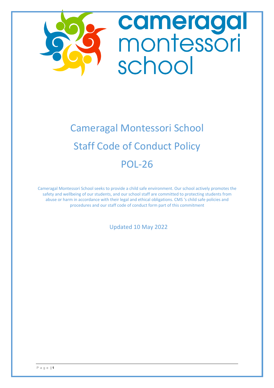

# Cameragal Montessori School Staff Code of Conduct Policy POL-26

Cameragal Montessori School seeks to provide a child safe environment. Our school actively promotes the safety and wellbeing of our students, and our school staff are committed to protecting students from abuse or harm in accordance with their legal and ethical obligations. CMS 's child safe policies and procedures and our staff code of conduct form part of this commitment

Updated 10 May 2022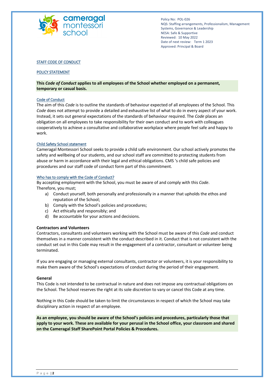

#### STAFF CODE OF CONDUCT

#### POLICY STATEMENT

**This** *Code of Conduct* **applies to all employees of the School whether employed on a permanent, temporary or casual basis.**

#### Code of Conduct

The aim of this *Code* is to outline the standards of behaviour expected of all employees of the School. This *Code* does not attempt to provide a detailed and exhaustive list of what to do in every aspect of your work. Instead, it sets out general expectations of the standards of behaviour required. The *Code* places an obligation on all employees to take responsibility for their own conduct and to work with colleagues cooperatively to achieve a consultative and collaborative workplace where people feel safe and happy to work.

#### Child Safety School statement

Cameragal Montessori School seeks to provide a child safe environment. Our school actively promotes the safety and wellbeing of our students, and our school staff are committed to protecting students from abuse or harm in accordance with their legal and ethical obligations. CMS 's child safe policies and procedures and our staff code of conduct form part of this commitment.

#### Who has to comply with the Code of Conduct?

By accepting employment with the School, you must be aware of and comply with this *Code*. Therefore, you must;

- a) Conduct yourself, both personally and professionally in a manner that upholds the ethos and reputation of the School;
- b) Comply with the School's policies and procedures;
- c) Act ethically and responsibly; and
- d) Be accountable for your actions and decisions.

#### **Contractors and Volunteers**

Contractors, consultants and volunteers working with the School must be aware of this *Code* and conduct themselves in a manner consistent with the conduct described in it. Conduct that is not consistent with the conduct set out in this Code may result in the engagement of a contractor, consultant or volunteer being terminated.

If you are engaging or managing external consultants, contractor or volunteers, it is your responsibility to make them aware of the School's expectations of conduct during the period of their engagement.

#### **General**

This Code is not intended to be contractual in nature and does not impose any contractual obligations on the School. The School reserves the right at its sole discretion to vary or cancel this Code at any time.

Nothing in this Code should be taken to limit the circumstances in respect of which the School may take disciplinary action in respect of an employee.

**As an employee, you should be aware of the School's policies and procedures, particularly those that apply to your work. These are available for your perusal in the School office, your classroom and shared on the Cameragal Staff SharePoint Portal Policies & Procedures.**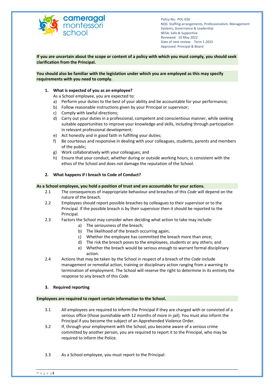

**If you are uncertain about the scope or content of a policy with which you must comply, you should seek clarification from the Principal.**

#### **You should also be familiar with the legislation under which you are employed as this may specify requirements with you need to comply.**

## **1. What is expected of you as an employee?**

As a School employee, you are expected to:

- a) Perform your duties to the best of your ability and be accountable for your performance;
- b) Follow reasonable instructions given by your Principal or supervisor;
- c) Comply with lawful directions;
- d) Carry out your duties in a professional, competent and conscientious manner, while seeking suitable opportunities to improve your knowledge and skills, including through participation in relevant professional development;
- e) Act honestly and in good faith in fulfilling your duties;
- f) Be courteous and responsive in dealing with your colleagues, students, parents and members of the public;
- g) Work collaboratively with your colleagues; and
- h) Ensure that your conduct, whether during or outside working hours, is consistent with the ethos of the School and does not damage the reputation of the School.

# **2. What happens if I breach to Code of Conduct?**

## **As a School employee, you hold a position of trust and are accountable for your actions.**

- 2.1 The consequences of inappropriate behaviour and breaches of this *Code* will depend on the nature of the breach.
- 2.2 Employees should report possible breaches by colleagues to their supervisor or to the Principal. If the possible breach is by their supervisor then it should be reported to the Principal.
- 2.3 Factors the School may consider when deciding what action to take may include:
	- a) The seriousness of the breach;
	- b) The likelihood of the breach occurring again;
	- c) Whether the employee has committed the breach more than once;
	- d) The risk the breach poses to the employees, students or any others; and
	- e) Whether the breach would be serious enough to warrant formal disciplinary action.
- 2.4 Actions that may be taken by the School in respect of a breach of the *Code* include management or remedial action, training or disciplinary action ranging from a warning to termination of employment. The School will reserve the right to determine in its entirety the response to any breach of this *Code*.

## **3. Required reporting**

## **Employees are required to report certain information to the School.**

- 3.1 All employees are required to inform the Principal if they are charged with or convicted of a serious office (those punishable with 12 months of more in jail). You must also inform the Principal if you become the subject of an Apprehended Violence Order.
- 3.2 If, through your employment with the School, you become aware of a serious crime committed by another person, you are required to report it to the Principal, who may be required to inform the Police.
- 3.3 As a School employee, you must report to the Principal: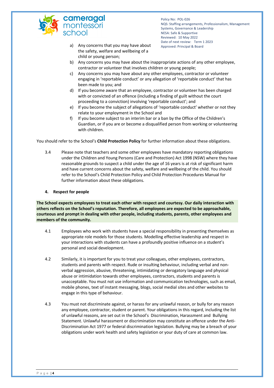

- a) Any concerns that you may have about Approved: Principal & Board the safety, welfare and wellbeing of a child or young person;
- b) Any concerns you may have about the inappropriate actions of any other employee, contractor or volunteer that involves children or young people;
- c) Any concerns you may have about any other employees, contractor or volunteer engaging in 'reportable conduct' or any allegation of 'reportable conduct' that has been made to you; and
- d) If you become aware that an employee, contractor or volunteer has been charged with or convicted of an offence (including a finding of guilt without the court proceeding to a conviction) involving 'reportable conduct'; and
- e) If you become the subject of allegations of 'reportable conduct' whether or not they relate to your employment in the School and
- f) If you become subject to an interim bar or a ban by the Office of the Children's Guardian, or if you are or become a disqualified person from working or volunteering with children.

You should refer to the School's **Child Protection Policy** for further information about these obligations.

3.4 Please note that teachers and some other employees have mandatory reporting obligations under the Children and Young Persons (Care and Protection) Act 1998 (NSW) where they have reasonable grounds to suspect a child under the age of 16 years is at risk of significant harm and have current concerns about the safety, welfare and wellbeing of the child. You should refer to the School's Child Protection Policy and Child Protection Procedures Manual for further information about these obligations.

# **4. Respect for people**

**The School expects employees to treat each other with respect and courtesy. Our daily interaction with others reflects on the School's reputation. Therefore, all employees are expected to be approachable, courteous and prompt in dealing with other people, including students, parents, other employees and members of the community.**

- 4.1 Employees who work with students have a special responsibility in presenting themselves as appropriate role models for those students. Modelling effective leadership and respect in your interactions with students can have a profoundly positive influence on a student's personal and social development.
- 4.2 Similarly, it is important for you to treat your colleagues, other employees, contractors, students and parents with respect. Rude or insulting behaviour, including verbal and nonverbal aggression, abusive, threatening, intimidating or derogatory language and physical abuse or intimidation towards other employees, contractors, students and parents is unacceptable. You must not use information and communication technologies, such as email, mobile phones, text of instant messaging, blogs, social medial sites and other websites to engage in this type of behaviour.
- 4.3 You must not discriminate against, or harass for any unlawful reason, or bully for any reason any employee, contractor, student or parent. Your obligations in this regard, including the list of unlawful reasons, are set out in the School's Discrimination, Harassment and Bullying Statement. Unlawful harassment or discrimination may constitute an offence under the Anti-Discrimination Act 1977 or federal discrimination legislation. Bullying may be a breach of your obligations under work health and safety legislation or your duty of care at common law.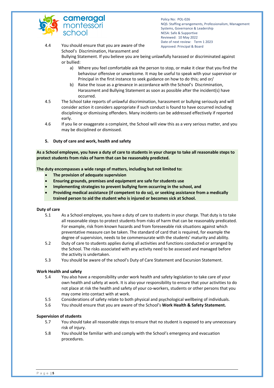

4.4 You should ensure that you are aware of the Approved: Principal & Board School's Discrimination, Harassment and

> Bullying Statement. If you believe you are being unlawfully harassed or discriminated against or bullied:

- a) Where you feel comfortable ask the person to stop, or make it clear that you find the behaviour offensive or unwelcome. It may be useful to speak with your supervisor or Principal in the first instance to seek guidance on how to do this; and or/
- b) Raise the issue as a grievance in accordance with the School's Discrimination, Harassment and Bullying Statement as soon as possible after the incident(s) have occurred.
- 4.5 The School take reports of unlawful discrimination, harassment or bullying seriously and will consider action it considers appropriate if such conduct is found to have occurred including disciplining or dismissing offenders. Many incidents can be addressed effectively if reported early.
- 4.6 If you lie or exaggerate a complaint, the School will view this as a very serious matter, and you may be disciplined or dismissed.
- **5. Duty of care and work, health and safety**

**As a School employee, you have a duty of care to students in your charge to take all reasonable steps to protect students from risks of harm that can be reasonably predicted.**

**The duty encompasses a wide range of matters, including but not limited to:**

- **The provision of adequate supervision**
- **Ensuring grounds, premises and equipment are safe for students use**
- **Implementing strategies to prevent bullying form occurring in the school, and**
- **Providing medical assistance (if competent to do so), or seeking assistance from a medically trained person to aid the student who is injured or becomes sick at School.**

## **Duty of care**

- 5.1 As a School employee, you have a duty of care to students in your charge. That duty is to take all reasonable steps to protect students from risks of harm that can be reasonably predicated. For example, risk from known hazards and from foreseeable risk situations against which preventative measure can be taken. The standard of card that is required, for example the degree of supervision, needs to be commensurate with the students' maturity and ability.
- 5.2 Duty of care to students applies during all activities and functions conducted or arranged by the School. The risks associated with any activity need to be assessed and managed before the activity is undertaken.
- 5.3 You should be aware of the school's Duty of Care Statement and Excursion Statement.

## **Work Health and safety**

- 5.4 You also have a responsibility under work health and safety legislation to take care of your own health and safety at work. It is also your responsibility to ensure that your activities to do not place at risk the health and safety of your co-workers, students or other persons that you may come into contact with at work.
- 5.5 Considerations of safety relate to both physical and psychological wellbeing of individuals.
- 5.6 You should ensure that you are aware of the School's **Work Health & Safety Statement.**

## **Supervision of students**

- 5.7 You should take all reasonable steps to ensure that no student is exposed to any unnecessary risk of injury.
- 5.8 You should be familiar with and comply with the School's emergency and evacuation procedures.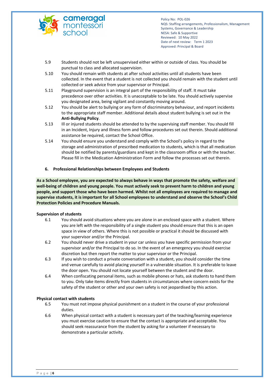

- 5.9 Students should not be left unsupervised either within or outside of class. You should be punctual to class and allocated supervision.
- 5.10 You should remain with students at after school activities until all students have been collected. In the event that a student is not collected you should remain with the student until collected or seek advice from your supervisor or Principal.
- 5.11 Playground supervision is an integral part of the responsibility of staff. It must take precedence over other activities. It is unacceptable to be late. You should actively supervise you designated area, being vigilant and constantly moving around.
- 5.12 You should be alert to bullying or any form of discriminatory behaviour, and report incidents to the appropriate staff member. Additional details about student bullying is set out in the **Anti-Bullying Policy**.
- 5.13 Ill or injured students should be attended to by the supervising staff member. You should fill in an Incident, Injury and Illness form and follow procedures set out therein. Should additional assistance be required, contact the School Office.
- 5.14 You should ensure you understand and comply with the School's policy in regard to the storage and administration of prescribed medication to students, which is that all medication should be notified by parents/guardians and kept in the classroom office or with the teacher. Please fill in the Medication Administration Form and follow the processes set out therein.

# **6. Professional Relationships between Employees and Students**

**As a School employee, you are expected to always behave in ways that promote the safety, welfare and well-being of children and young people. You must actively seek to prevent harm to children and young people, and support those who have been harmed. Whilst not all employees are required to manage and supervise students, it is important for all School employees to understand and observe the School's Child Protection Policies and Procedure Manuals.**

## **Supervision of students**

- 6.1 You should avoid situations where you are alone in an enclosed space with a student. Where you are left with the responsibility of a single student you should ensure that this is an open space in view of others. Where this is not possible or practical it should be discussed with your supervisor and/or the Principal.
- 6.2 You should never drive a student in your car unless you have specific permission from your supervisor and/or the Principal to do so. In the event of an emergency you should exercise discretion but then report the matter to your supervisor or the Principal.
- 6.3 If you wish to conduct a private conversation with a student, you should consider the time and venue carefully to avoid placing yourself in a vulnerable situation. It is preferable to leave the door open. You should not locate yourself between the student and the door.
- 6.4 When confiscating personal items, such as mobile phones or hats, ask students to hand them to you. Only take items directly from students in circumstances where concern exists for the safety of the student or other and your own safety is not jeopardised by this action.

## **Physical contact with students**

- 6.5 You must not impose physical punishment on a student in the course of your professional duties.
- 6.6 When physical contact with a student is necessary part of the teaching/learning experience you must exercise caution to ensure that the contact is appropriate and acceptable. You should seek reassurance from the student by asking for a volunteer if necessary to demonstrate a particular activity.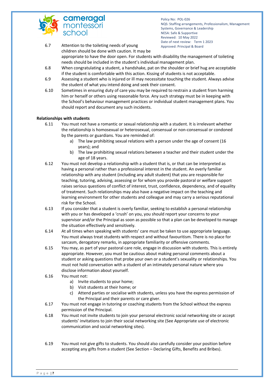

- 6.7 Attention to the toileting needs of young Approved: Principal & Board children should be done with caution. It may be appropriate to have the door open. For students with disability the management of toileting needs should be included in the student's individual management plan.
- 6.8 When congratulating a student, a handshake, pat on the shoulder or brief hug are acceptable if the student is comfortable with this action. Kissing of students is not acceptable.
- 6.9 Assessing a student who is injured or ill may necessitate touching the student. Always advise the student of what you intend doing and seek their consent.
- 6.10 Sometimes in ensuring duty of care you may be required to restrain a student from harming him or herself or others using reasonable force. Any such strategy must be in keeping with the School's behaviour management practices or individual student management plans. You should report and document any such incidents.

## **Relationships with students**

- 6.11 You must not have a romantic or sexual relationship with a student. It is irrelevant whether the relationship is homosexual or heterosexual, consensual or non-consensual or condoned by the parents or guardians. You are reminded of:
	- a) The law prohibiting sexual relations with a person under the age of consent (16 years); and
	- b) The law prohibiting sexual relations between a teacher and their student under the age of 18 years.
- 6.12 You must not develop a relationship with a student that is, or that can be interpreted as having a personal rather than a professional interest in the student. An overly familiar relationship with any student (including any adult student) that you are responsible for teaching, tutoring, advising, assessing or for whom you provide pastoral or welfare support raises serious questions of conflict of interest, trust, confidence, dependency, and of equality of treatment. Such relationships may also have a negative impact on the teaching and learning environment for other students and colleague and may carry a serious reputational risk for the School.
- 6.13 If you consider that a student is overly familiar, seeking to establish a personal relationship with you or has developed a 'crush' on you, you should report your concerns to your supervisor and/or the Principal as soon as possible so that a plan can be developed to manage the situation effectively and sensitively.
- 6.14 At all times when speaking with students' care must be taken to use appropriate language. You must always treat students with respect and without favouritism. There is no place for sarcasm, derogatory remarks, in appropriate familiarity or offensive comments.
- 6.15 You may, as part of your pastoral care role, engage in discussion with students. This is entirely appropriate. However, you must be cautious about making personal comments about a student or asking questions that probe your own or a student's sexuality or relationships. You must not hold conversation with a student of an intimately personal nature where you disclose information about yourself.
- 6.16 You must not:
	- a) Invite students to your home;
	- b) Visit students at their home; or
	- c) Attend parties or socialise with students, unless you have the express permission of the Principal and their parents or care giver.
- 6.17 You must not engage in tutoring or coaching students from the School without the express permission of the Principal.
- 6.18 You must not invite students to join your personal electronic social networking site or accept students' invitations to join their social networking site (See Appropriate use of electronic communication and social networking sites).
- 6.19 You must not give gifts to students. You should also carefully consider your position before accepting any gifts from a student (See Section – Declaring Gifts, Benefits and Bribes).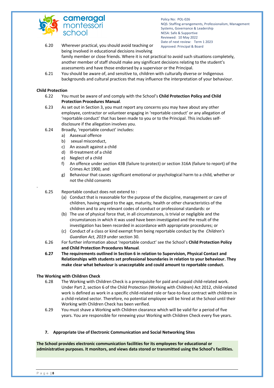

Policy No: POL-026 NQS: Staffing arrangements, Professionalism, Management Systems, Governance & Leadership NESA: Safe & Supportive Reviewed: 10 May 2022 Date of next review: Term 1 2023 6.20 Wherever practical, you should avoid teaching or Approved: Principal & Board

- being involved in educational decisions involving family member or close friends. Where it is not practical to avoid such situations completely, another member of staff should make any significant decisions relating to the student's assessments and have those endorsed by a supervisor or the Principal.
- 6.21 You should be aware of, and sensitive to, children with culturally diverse or Indigenous backgrounds and cultural practices that may influence the interpretation of your behaviour.

## **Child Protection**

.

- 6.22 You must be aware of and comply with the School's **Child Protection Policy and Child Protection Procedures Manual**.
- 6.23 As set out in Section 3, you must report any concerns you may have about any other employee, contractor or volunteer engaging in 'reportable conduct' or any allegation of 'reportable conduct' that has been made to you or to the Principal. This includes selfdisclosure if the allegation involves you.
- 6.24 Broadly, 'reportable conduct' includes:
	- a) Aasexual offence
	- b) sexual misconduct,
	- c) An assault against a child
	- d) Ill-treatment of a child
	- e) Neglect of a child
	- f) An offence under section 43B (failure to protect) or section 316A (failure to report) of the Crimes Act 1900, and
	- g) Behaviour that causes significant emotional or psychological harm to a child, whether or not the child consents
- 6.25 Reportable conduct does not extend to :
	- (a) Conduct that is reasonable for the purpose of the discipline, management or care of children, having regard to the age, maturity, health or other characteristics of the children and to any relevant codes of conduct or professional standards: or
	- (b) The use of physical force that, in all circumstances, is trivial or negligible and the circumstances in which it was used have been investigated and the result of the investigation has been recorded in accordance with appropriate procedures; or
	- (c) Conduct of a class or kind exempt from being reportable conduct by the *Children's Guardian Act, 2019* under section 30.
- 6.26 For further information about 'reportable conduct' see the School's **Child Protection Policy and Child Protection Procedures Manual**.
- **6.27 The requirements outlined in Section 6 in relation to Supervision, Physical Contact and Relationships with students set professional boundaries in relation to your behaviour. They make clear what behaviour is unacceptable and could amount to reportable conduct.**

## **The Working with Children Check**

- 6.28 The Working with Children Check is a prerequisite for paid and unpaid child-related work. Under Part 2, section 6 of the Child Protection (Working with Children) Act 2012, child-related work is defined as work in a specific child-related role or face-to-face contract with children in a child-related sector. Therefore, no potential employee will be hired at the School until their Working with Children Check has been verified.
- 6.29 You must shave a Working with Children clearance which will be valid for a period of five years. You are responsible for renewing your Working with Children Check every five years.
- **7. Appropriate Use of Electronic Communication and Social Networking Sites**

**The School provides electronic communication facilities for its employees for educational or administrative purposes. It monitors, and views data stored or transmitted using the School's facilities.**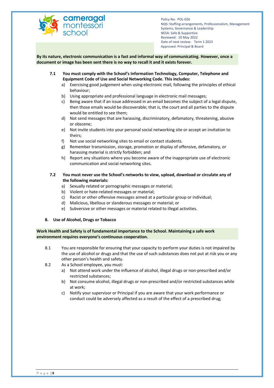

**By its nature, electronic communication is a fast and informal way of communicating. However, once a document or image has been sent there is no way to recall it and it exists forever.** 

- **7.1 You must comply with the School's Information Technology, Computer, Telephone and Equipment Code of Use and Social Networking Code. This includes:**
	- a) Exercising good judgement when using electronic mail, following the principles of ethical behaviour;
	- b) Using appropriate and professional language in electronic mail messages;
	- c) Being aware that if an issue addressed in an email becomes the subject of a legal dispute, then those emails would be discoverable; that is, the court and all parties to the dispute would be entitled to see them;
	- d) Not send messages that are harassing, discriminatory, defamatory, threatening, abusive or obscene;
	- e) Not invite students into your personal social networking site or accept an invitation to theirs;
	- f) Not use social networking sites to email or contact students.
	- g) Remember transmission, storage, promotion or display of offensive, defamatory, or harassing material is strictly forbidden; and
	- h) Report any situations where you become aware of the inappropriate use of electronic communication and social networking sites.

# **7.2 You must never use the School's networks to view, upload, download or circulate any of the following materials:**

- a) Sexually related or pornographic messages or material;
- b) Violent or hate-related messages or material;
- c) Racist or other offensive messages aimed at a particular group or individual;
- d) Malicious, libellous or slanderous messages or material; or
- e) Subversive or other messages or material related to illegal activities.
- **8. Use of Alcohol, Drugs or Tobacco**

**Work Health and Safety is of fundamental importance to the School. Maintaining a safe work environment requires everyone's continuous cooperation.**

- 8.1 You are responsible for ensuring that your capacity to perform your duties is not impaired by the use of alcohol or drugs and that the use of such substances does not put at risk you or any other person's health and safety.
- 8.2 As a School employee, you must:
	- a) Not attend work under the influence of alcohol, illegal drugs or non-prescribed and/or restricted substances;
	- b) Not consume alcohol, illegal drugs or non-prescribed and/or restricted substances while at work;
	- c) Notify your supervisor or Principal if you are aware that your work performance or conduct could be adversely affected as a result of the effect of a prescribed drug;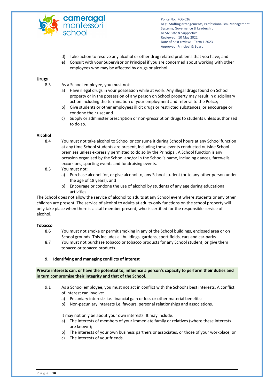

- d) Take action to resolve any alcohol or other drug related problems that you have; and
- e) Consult with your Supervisor or Principal if you are concerned about working with other employees who may be affected by drugs or alcohol.

## **Drugs**

- 8.3 As a School employee, you must not:
	- a) Have illegal drugs in your possession while at work. Any illegal drugs found on School property or in the possession of any person on School property may result in disciplinary action including the termination of your employment and referral to the Police;
	- b) Give students or other employees illicit drugs or restricted substances, or encourage or condone their use; and
	- c) Supply or administer prescription or non-prescription drugs to students unless authorised to do so.

## **Alcohol**

- 8.4 You must not take alcohol to School or consume it during School hours at any School function at any time School students are present, including those events conducted outside School premises unless expressly permitted to do so by the Principal. A School function is any occasion organised by the School and/or in the School's name, including dances, farewells, excursions, sporting events and fundraising events.
- 8.5 You must not:
	- a) Purchase alcohol for, or give alcohol to, any School student (or to any other person under the age of 18 years); and
	- b) Encourage or condone the use of alcohol by students of any age during educational activities.

The School does not allow the service of alcohol to adults at any School event where students or any other children are present. The service of alcohol to adults at adults-only functions on the school property will only take place when there is a staff member present, who is certified for the responsible service of alcohol.

## **Tobacco**

- 8.6 You must not smoke or permit smoking in any of the School buildings, enclosed area or on School grounds. This includes all buildings, gardens, sport fields, cars and car-parks.
- 8.7 You must not purchase tobacco or tobacco products for any School student, or give them tobacco or tobacco products.
- **9. Identifying and managing conflicts of interest**

**Private interests can, or have the potential to, influence a person's capacity to perform their duties and in turn compromise their integrity and that of the School.**

- 9.1 As a School employee, you must not act in conflict with the School's best interests. A conflict of interest can involve:
	- a) Pecuniary interests i.e. financial gain or loss or other material benefits;
	- b) Non-pecuniary interests i.e. favours, personal relationships and associations.

It may not only be about your own interests. It may include:

- a) The interests of members of your immediate family or relatives (where these interests are known);
- b) The interests of your own business partners or associates, or those of your workplace; or
- c) The interests of your friends.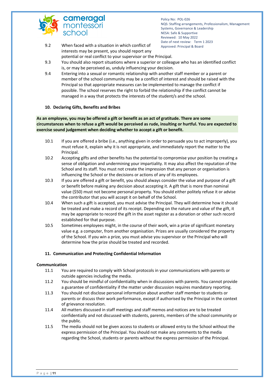

- 9.2 When faced with a situation in which conflict of Approved: Principal & Board interests may be present, you should report any potential or real conflict to your supervisor or the Principal.
- 9.3 You should also report situations where a superior or colleague who has an identified conflict is, or may be perceived as, unduly influencing your decision.
- 9.4 Entering into a sexual or romantic relationship with another staff member or a parent or member of the school community may be a conflict of interest and should be raised with the Principal so that appropriate measures can be implemented to manage the conflict if possible. The school reserves the right to forbid the relationship if the conflict cannot be managed in a way that protects the interests of the student/s and the school.

## **10. Declaring Gifts, Benefits and Bribes**

**As an employee, you may be offered a gift or benefit as an act of gratitude. There are some circumstances when to refuse a gift would be perceived as rude, insulting or hurtful. You are expected to exercise sound judgement when deciding whether to accept a gift or benefit.**

- 10.1 If you are offered a bribe (i.e., anything given in order to persuade you to act improperly), you must refuse it, explain why it is not appropriate, and immediately report the matter to the Principal.
- 10.2 Accepting gifts and other benefits has the potential to compromise your position by creating a sense of obligation and undermining your impartiality. It may also affect the reputation of the School and its staff. You must not create the impression that any person or organisation is influencing the School or the decisions or actions of any of its employees.
- 10.3 If you are offered a gift or benefit, you should always consider the value and purpose of a gift or benefit before making any decision about accepting it. A gift that is more than nominal value (\$50) must not become personal property. You should either politely refuse it or advise the contributor that you will accept it on behalf of the School.
- 10.4 When such a gift is accepted, you must advise the Principal. They will determine how it should be treated and make a record of its receipt. Depending on the nature and value of the gift, it may be appropriate to record the gift in the asset register as a donation or other such record established for that purpose.
- 10.5 Sometimes employees might, in the course of their work, win a prize of significant monetary value e.g. a computer, from another organisation. Prizes are usually considered the property of the School. If you win a prize, you must advise you supervisor or the Principal who will determine how the prize should be treated and recorded.

# **11. Communication and Protecting Confidential Information**

## **Communication**

- 11.1 You are required to comply with School protocols in your communications with parents or outside agencies including the media.
- 11.2 You should be mindful of confidentiality when in discussions with parents. You cannot provide a guarantee of confidentiality if the matter under discussion requires mandatory reporting.
- 11.3 You should not disclose personal information about another staff member to students or parents or discuss their work performance, except if authorised by the Principal in the context of grievance resolution.
- 11.4 All matters discussed in staff meetings and staff memos and notices are to be treated confidentially and not discussed with students, parents, members of the school community or the public.
- 11.5 The media should not be given access to students or allowed entry to the School without the express permission of the Principal. You should not make any comments to the media regarding the School, students or parents without the express permission of the Principal.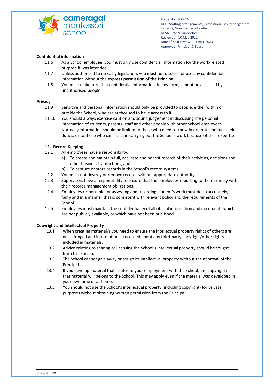

## **Confidential information**

- 11.6 As a School employee, you must only use confidential information for the work-related purpose it was intended.
- 11.7 Unless authorised to do so by legislation, you must not disclose or use any confidential information without the **express permission of the Principal**.
- 11.8 You must make sure that confidential information, in any form, cannot be accessed by unauthorised people.

## **Privacy**

- 11.9 Sensitive and personal information should only be provided to people, either within or outside the School, who are authorised to have access to it.
- 11.10 You should always exercise caution and sound judgement in discussing the personal information of students, parents, staff and other people with other School employees. Normally information should be limited to those who need to know in order to conduct their duties, or to those who can assist in carrying out the School's work because of their expertise.

## **12. Record Keeping**

- 12.1 All employees have a responsibility;
	- a) To create and maintain full, accurate and honest records of their activities, decisions and other business transactions, and
	- b) To capture or store records in the School's record systems.
- 12.2 You must not destroy or remove records without appropriate authority.
- 12.3 Supervisors have a responsibility to ensure that the employees reporting to them comply with their records management obligations.
- 12.4 Employees responsible for assessing and recording student's work must do so accurately, fairly and in a manner that is consistent with relevant policy and the requirements of the School.
- 12.5 Employees must maintain the confidentiality of all official information and documents which are not publicly available, or which have not been published.

## **Copyright and Intellectual Property**

- 13.1 When creating material/s you need to ensure the intellectual property rights of others are not infringed and information is recorded about any third-party copyright/other rights included in materials.
- 13.2 Advice relating to sharing or licensing the School's intellectual property should be sought from the Principal.
- 13.3 The School cannot give away or assign its intellectual property without the approval of the Principal.
- 13.4 If you develop material that relates to your employment with the School, the copyright in that material will belong to the School. This may apply even if the material was developed in your own time or at home.
- 13.5 You should not use the School's intellectual property (including copyright) for private purposes without obtaining written permission from the Principal.